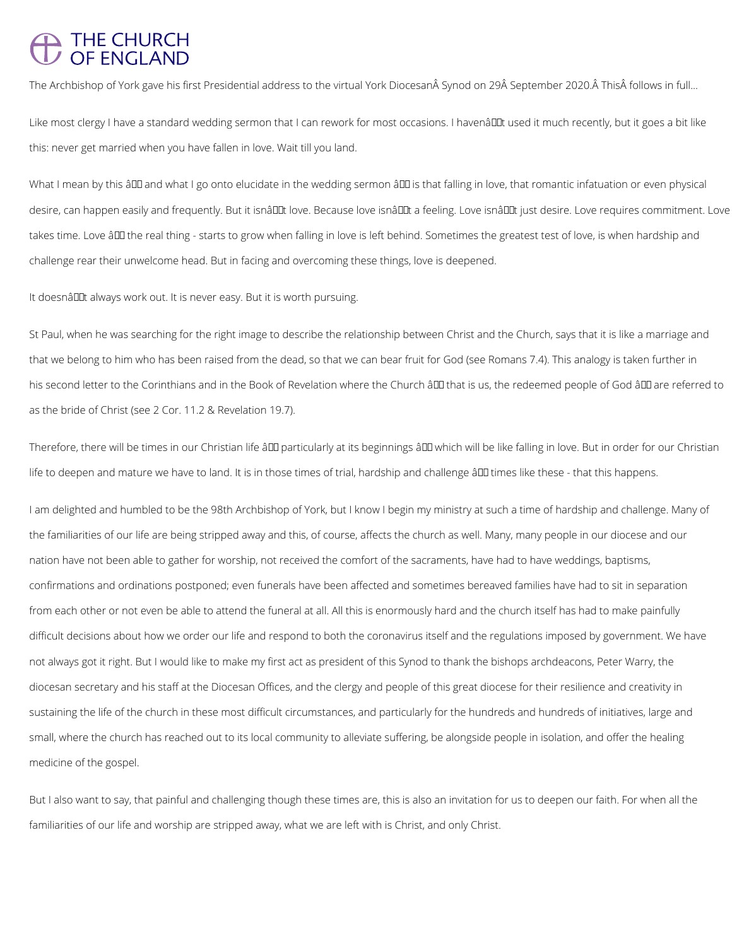## THE CHURCH<br>OF ENGLAND

The Archbishop of York gave his first Presidential address to the virtual York Diocesan Synod on 29 September 2020. This follows in full...

Like most clergy I have a standard wedding sermon that I can rework for most occasions. I havenâllat used it much recently, but it goes a bit like this: never get married when you have fallen in love. Wait till you land.

What I mean by this ând and what I go onto elucidate in the wedding sermon ând is that falling in love, that romantic infatuation or even physical desire, can happen easily and frequently. But it isnâuut love. Because love isnâuut a feeling. Love isnâuut just desire. Love requires commitment. Love takes time. Love â DD the real thing - starts to grow when falling in love is left behind. Sometimes the greatest test of love, is when hardship and challenge rear their unwelcome head. But in facing and overcoming these things, love is deepened.

It doesnâllet always work out. It is never easy. But it is worth pursuing.

St Paul, when he was searching for the right image to describe the relationship between Christ and the Church, says that it is like a marriage and that we belong to him who has been raised from the dead, so that we can bear fruit for God (see Romans 7.4). This analogy is taken further in his second letter to the Corinthians and in the Book of Revelation where the Church â DD that is us, the redeemed people of God â DD are referred to as the bride of Christ (see 2 Cor. 11.2 & Revelation 19.7).

Therefore, there will be times in our Christian life â DD particularly at its beginnings â DD which will be like falling in love. But in order for our Christian life to deepen and mature we have to land. It is in those times of trial, hardship and challenge â00 times like these - that this happens.

I am delighted and humbled to be the 98th Archbishop of York, but I know I begin my ministry at such a time of hardship and challenge. Many of the familiarities of our life are being stripped away and this, of course, affects the church as well. Many, many people in our diocese and our nation have not been able to gather for worship, not received the comfort of the sacraments, have had to have weddings, baptisms, confirmations and ordinations postponed; even funerals have been affected and sometimes bereaved families have had to sit in separation from each other or not even be able to attend the funeral at all. All this is enormously hard and the church itself has had to make painfully difficult decisions about how we order our life and respond to both the coronavirus itself and the regulations imposed by government. We have not always got it right. But I would like to make my first act as president of this Synod to thank the bishops archdeacons, Peter Warry, the diocesan secretary and his staff at the Diocesan Offices, and the clergy and people of this great diocese for their resilience and creativity in

sustaining the life of the church in these most difficult circumstances, and particularly for the hundreds and hundreds of initiatives, large and

small, where the church has reached out to its local community to alleviate suffering, be alongside people in isolation, and offer the healing

medicine of the gospel.

But I also want to say, that painful and challenging though these times are, this is also an invitation for us to deepen our faith. For when all the

familiarities of our life and worship are stripped away, what we are left with is Christ, and only Christ.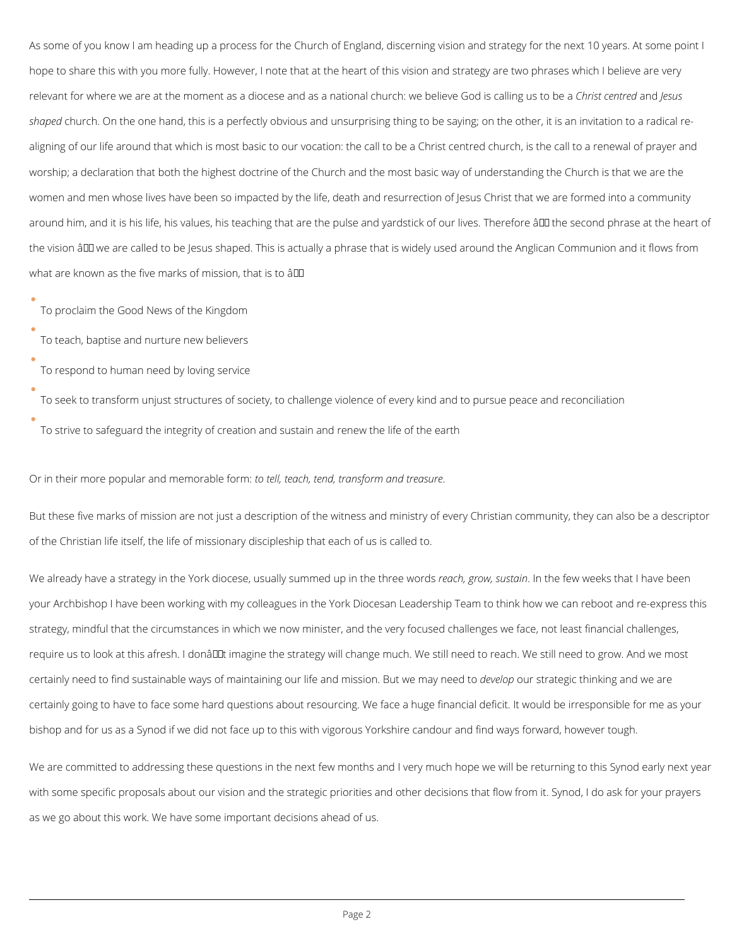As some of you know I am heading up a process for the Church of England, discerning vision and strategy for the next 10 years. At some point I hope to share this with you more fully. However, I note that at the heart of this vision and strategy are two phrases which I believe are very relevant for where we are at the moment as a diocese and as a national church: we believe God is calling us to be a *Christ centred* and *Jesus shaped* church. On the one hand, this is a perfectly obvious and unsurprising thing to be saying; on the other, it is an invitation to a radical realigning of our life around that which is most basic to our vocation: the call to be a Christ centred church, is the call to a renewal of prayer and worship; a declaration that both the highest doctrine of the Church and the most basic way of understanding the Church is that we are the women and men whose lives have been so impacted by the life, death and resurrection of Jesus Christ that we are formed into a community around him, and it is his life, his values, his teaching that are the pulse and yardstick of our lives. Therefore âll the second phrase at the heart of the vision ând we are called to be Jesus shaped. This is actually a phrase that is widely used around the Anglican Communion and it flows from what are known as the five marks of mission, that is to  $\hat{a}$ DD

To proclaim the Good News of the Kingdom

To teach, baptise and nurture new believers

To respond to human need by loving service

To seek to transform unjust structures of society, to challenge violence of every kind and to pursue peace and reconciliation

To strive to safeguard the integrity of creation and sustain and renew the life of the earth

Or in their more popular and memorable form: *to tell, teach, tend, transform and treasure*.

But these five marks of mission are not just a description of the witness and ministry of every Christian community, they can also be a descriptor of the Christian life itself, the life of missionary discipleship that each of us is called to.

We already have a strategy in the York diocese, usually summed up in the three words *reach, grow, sustain*. In the few weeks that I have been your Archbishop I have been working with my colleagues in the York Diocesan Leadership Team to think how we can reboot and re-express this strategy, mindful that the circumstances in which we now minister, and the very focused challenges we face, not least financial challenges, require us to look at this afresh. I donâu timagine the strategy will change much. We still need to reach. We still need to grow. And we most certainly need to find sustainable ways of maintaining our life and mission. But we may need to *develop* our strategic thinking and we are certainly going to have to face some hard questions about resourcing. We face a huge financial deficit. It would be irresponsible for me as your

bishop and for us as a Synod if we did not face up to this with vigorous Yorkshire candour and find ways forward, however tough.

We are committed to addressing these questions in the next few months and I very much hope we will be returning to this Synod early next year

with some specific proposals about our vision and the strategic priorities and other decisions that flow from it. Synod, I do ask for your prayers

as we go about this work. We have some important decisions ahead of us.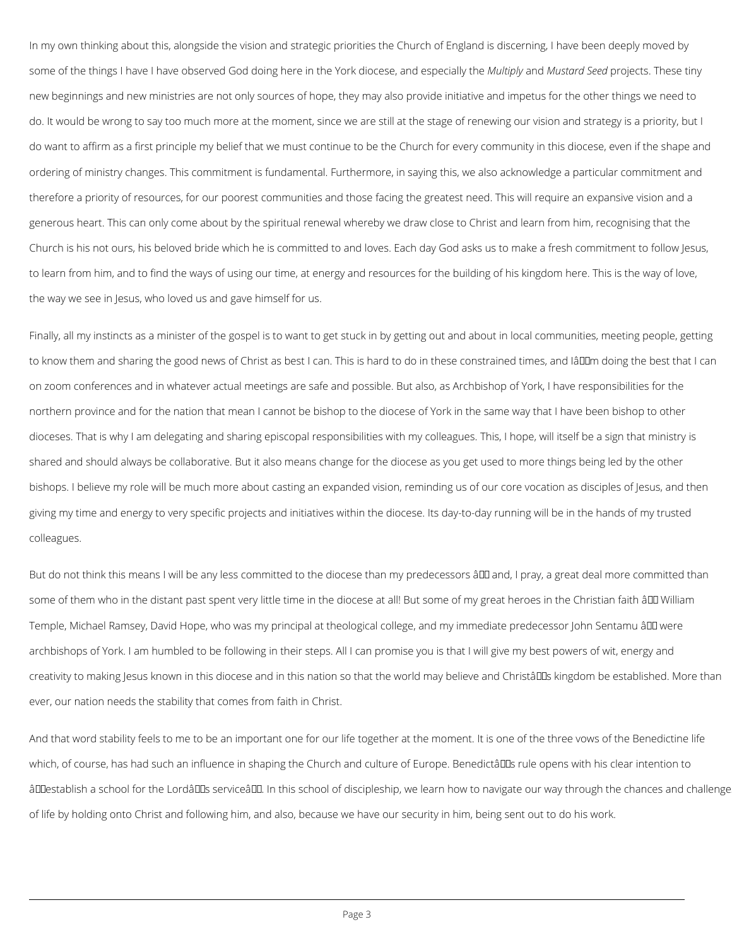In my own thinking about this, alongside the vision and strategic priorities the Church of England is discerning, I have been deeply moved by some of the things I have I have observed God doing here in the York diocese, and especially the *Multiply* and *Mustard Seed* projects. These tiny new beginnings and new ministries are not only sources of hope, they may also provide initiative and impetus for the other things we need to do. It would be wrong to say too much more at the moment, since we are still at the stage of renewing our vision and strategy is a priority, but I do want to affirm as a first principle my belief that we must continue to be the Church for every community in this diocese, even if the shape and ordering of ministry changes. This commitment is fundamental. Furthermore, in saying this, we also acknowledge a particular commitment and therefore a priority of resources, for our poorest communities and those facing the greatest need. This will require an expansive vision and a generous heart. This can only come about by the spiritual renewal whereby we draw close to Christ and learn from him, recognising that the Church is his not ours, his beloved bride which he is committed to and loves. Each day God asks us to make a fresh commitment to follow Jesus, to learn from him, and to find the ways of using our time, at energy and resources for the building of his kingdom here. This is the way of love, the way we see in Jesus, who loved us and gave himself for us.

But do not think this means I will be any less committed to the diocese than my predecessors â III and, I pray, a great deal more committed than some of them who in the distant past spent very little time in the diocese at all! But some of my great heroes in the Christian faith â DD William Temple, Michael Ramsey, David Hope, who was my principal at theological college, and my immediate predecessor John Sentamu â DD were archbishops of York. I am humbled to be following in their steps. All I can promise you is that I will give my best powers of wit, energy and creativity to making Jesus known in this diocese and in this nation so that the world may believe and Christâll Las kingdom be established. More than ever, our nation needs the stability that comes from faith in Christ.

Finally, all my instincts as a minister of the gospel is to want to get stuck in by getting out and about in local communities, meeting people, getting to know them and sharing the good news of Christ as best I can. This is hard to do in these constrained times, and Iâll m doing the best that I can on zoom conferences and in whatever actual meetings are safe and possible. But also, as Archbishop of York, I have responsibilities for the northern province and for the nation that mean I cannot be bishop to the diocese of York in the same way that I have been bishop to other dioceses. That is why I am delegating and sharing episcopal responsibilities with my colleagues. This, I hope, will itself be a sign that ministry is shared and should always be collaborative. But it also means change for the diocese as you get used to more things being led by the other bishops. I believe my role will be much more about casting an expanded vision, reminding us of our core vocation as disciples of Jesus, and then giving my time and energy to very specific projects and initiatives within the diocese. Its day-to-day running will be in the hands of my trusted colleagues.

And that word stability feels to me to be an important one for our life together at the moment. It is one of the three vows of the Benedictine life

which, of course, has had such an influence in shaping the Church and culture of Europe. Benedictâll as rule opens with his clear intention to

âDDestablish a school for the LordâDDs serviceâDD. In this school of discipleship, we learn how to navigate our way through the chances and challenge

of life by holding onto Christ and following him, and also, because we have our security in him, being sent out to do his work.